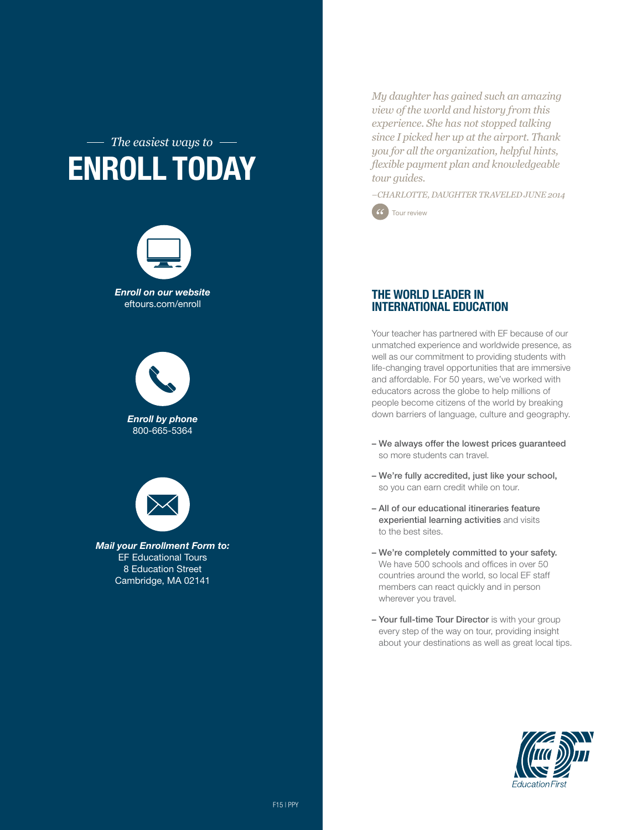### *The easiest ways to* Enroll today



eftours.com/enroll

*Enroll by phone* 800-665-5364



*Mail your Enrollment Form to:* EF Educational Tours 8 Education Street Cambridge, MA 02141

*My daughter has gained such an amazing view of the world and history from this experience. She has not stopped talking since I picked her up at the airport. Thank you for all the organization, helpful hints, flexible payment plan and knowledgeable tour guides.*

*–CHARLOTTE, DAUGHTER TRAVELED JUNE 2014*



#### The World Leader in International Education

Your teacher has partnered with EF because of our unmatched experience and worldwide presence, as well as our commitment to providing students with life-changing travel opportunities that are immersive and affordable. For 50 years, we've worked with educators across the globe to help millions of people become citizens of the world by breaking down barriers of language, culture and geography.

- We always offer the lowest prices guaranteed so more students can travel.
- We're fully accredited, just like your school, so you can earn credit while on tour.
- All of our educational itineraries feature experiential learning activities and visits to the best sites.
- We're completely committed to your safety. We have 500 schools and offices in over 50 countries around the world, so local EF staff members can react quickly and in person wherever you travel.
- Your full-time Tour Director is with your group every step of the way on tour, providing insight about your destinations as well as great local tips.

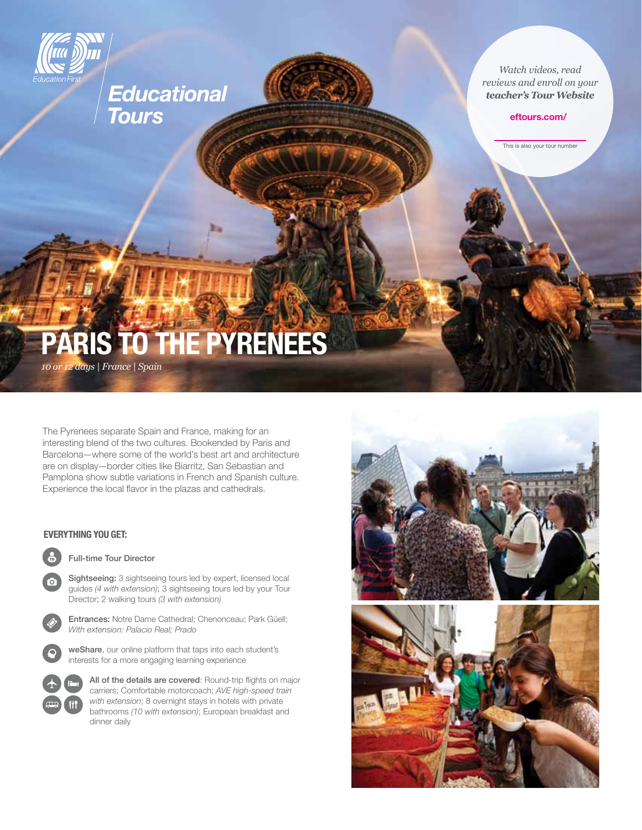

# Educational<br>Tours

*Watch videos, read reviews and enroll on your teacher's Tour Website*

#### eftours.com/

This is also your tour number

# PARIS TO THE PYRENEES

*10 or 12 days | France | Spain*

The Pyrenees separate Spain and France, making for an interesting blend of the two cultures. Bookended by Paris and Barcelona—where some of the world's best art and architecture are on display—border cities like Biarritz, San Sebastian and Pamplona show subtle variations in French and Spanish culture. Experience the local flavor in the plazas and cathedrals.

#### Everything you get:

ra:

Full-time Tour Director

Sightseeing: 3 sightseeing tours led by expert, licensed local guides *(4 with extension)*; 3 sightseeing tours led by your Tour Director; 2 walking tours *(3 with extension)*

 Entrances: Notre Dame Cathedral; Chenonceau; Park Güell; *With extension: Palacio Real; Prado*



 weShare, our online platform that taps into each student's interests for a more engaging learning experience



All of the details are covered: Round-trip flights on major carriers; Comfortable motorcoach; *AVE high-speed train with extension*; 8 overnight stays in hotels with private bathrooms *(10 with extension)*; European breakfast and dinner daily

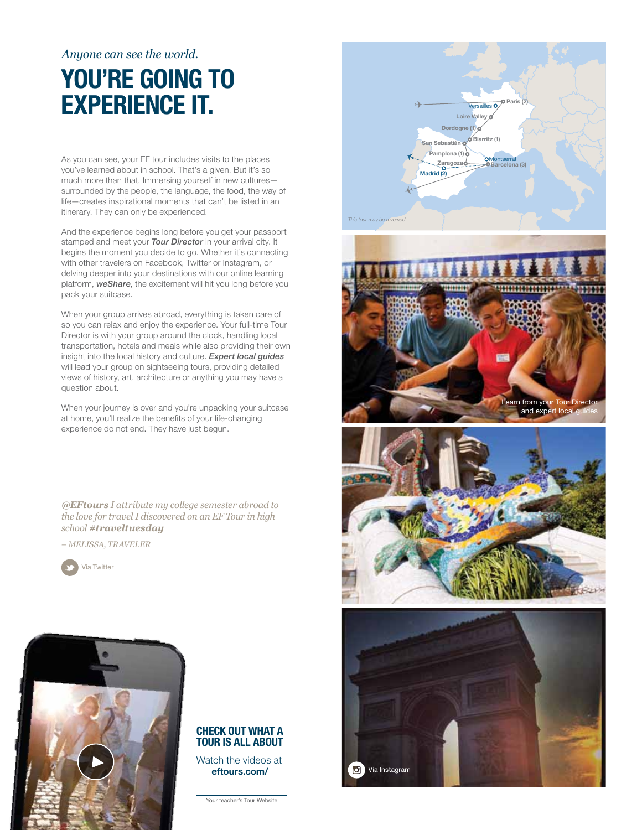#### *Anyone can see the world.*

## YOU'RE GOING TO experience it.

As you can see, your EF tour includes visits to the places you've learned about in school. That's a given. But it's so much more than that. Immersing yourself in new cultures surrounded by the people, the language, the food, the way of life—creates inspirational moments that can't be listed in an itinerary. They can only be experienced.

And the experience begins long before you get your passport stamped and meet your *Tour Director* in your arrival city. It begins the moment you decide to go. Whether it's connecting with other travelers on Facebook, Twitter or Instagram, or delving deeper into your destinations with our online learning platform, *weShare*, the excitement will hit you long before you pack your suitcase.

When your group arrives abroad, everything is taken care of so you can relax and enjoy the experience. Your full-time Tour Director is with your group around the clock, handling local transportation, hotels and meals while also providing their own insight into the local history and culture. *Expert local guides* will lead your group on sightseeing tours, providing detailed views of history, art, architecture or anything you may have a question about.

When your journey is over and you're unpacking your suitcase at home, you'll realize the benefits of your life-changing experience do not end. They have just begun.

*@EFtours I attribute my college semester abroad to the love for travel I discovered on an EF Tour in high school #traveltuesday*

*– Melissa, Traveler*





#### Check out what a tour is all about

Watch the videos at eftours.com/

Your teacher's Tour Website